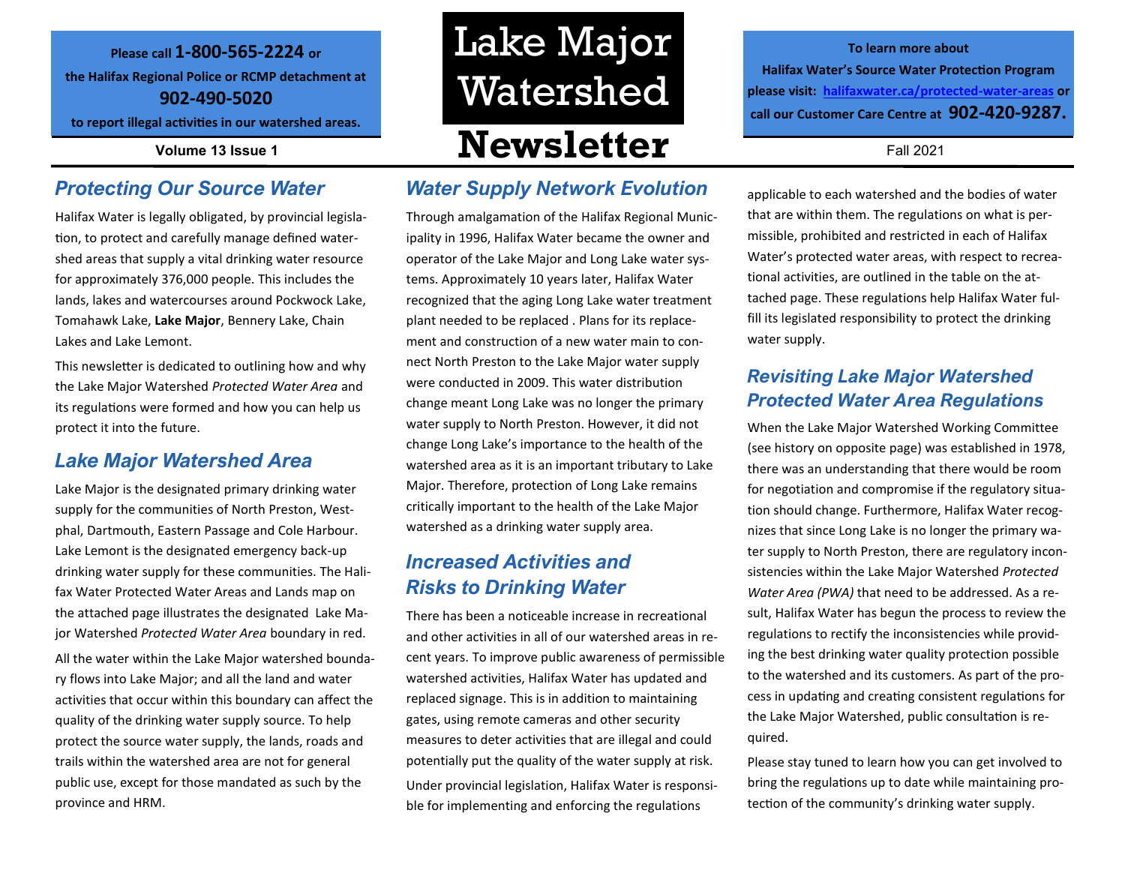#### **Please call 1-800-565-2224 or**

**the Halifax Regional Police or RCMP detachment at 902-490-5020** 

**to report illegal activities in our watershed areas.**

#### *Protecting Our Source Water*

Halifax Water is legally obligated, by provincial legislation, to protect and carefully manage defined watershed areas that supply a vital drinking water resource for approximately 376,000 people. This includes the lands, lakes and watercourses around Pockwock Lake, Tomahawk Lake, **Lake Major**, Bennery Lake, Chain Lakes and Lake Lemont.

This newsletter is dedicated to outlining how and why the Lake Major Watershed *Protected Water Area* and its regulations were formed and how you can help us protect it into the future.

#### *Lake Major Watershed Area*

Lake Major is the designated primary drinking water supply for the communities of North Preston, Westphal, Dartmouth, Eastern Passage and Cole Harbour. Lake Lemont is the designated emergency back-up drinking water supply for these communities. The Halifax Water Protected Water Areas and Lands map on the attached page illustrates the designated Lake Major Watershed *Protected Water Area* boundary in red. All the water within the Lake Major watershed boundary flows into Lake Major; and all the land and water activities that occur within this boundary can affect the quality of the drinking water supply source. To help protect the source water supply, the lands, roads and trails within the watershed area are not for general public use, except for those mandated as such by the province and HRM.

# **Volume 13 Issue 1 Newsletter** Fall 2021 Lake Major Watershed

#### *Water Supply Network Evolution*

Through amalgamation of the Halifax Regional Municipality in 1996, Halifax Water became the owner and operator of the Lake Major and Long Lake water systems. Approximately 10 years later, Halifax Water recognized that the aging Long Lake water treatment plant needed to be replaced . Plans for its replacement and construction of a new water main to connect North Preston to the Lake Major water supply were conducted in 2009. This water distribution change meant Long Lake was no longer the primary water supply to North Preston. However, it did not change Long Lake's importance to the health of the watershed area as it is an important tributary to Lake Major. Therefore, protection of Long Lake remains critically important to the health of the Lake Major watershed as a drinking water supply area.

### *Increased Activities and Risks to Drinking Water*

There has been a noticeable increase in recreational and other activities in all of our watershed areas in recent years. To improve public awareness of permissible watershed activities, Halifax Water has updated and replaced signage. This is in addition to maintaining gates, using remote cameras and other security measures to deter activities that are illegal and could potentially put the quality of the water supply at risk. Under provincial legislation, Halifax Water is responsible for implementing and enforcing the regulations

**To learn more about Halifax Water's Source Water Protection Program please visit: [halifaxwater.ca/protected](https://www.halifaxwater.ca/protected-water-areas)-water-areas or call our Customer Care Centre at 902-420-9287.** 

applicable to each watershed and the bodies of water that are within them. The regulations on what is permissible, prohibited and restricted in each of Halifax Water's protected water areas, with respect to recreational activities, are outlined in the table on the attached page. These regulations help Halifax Water fulfill its legislated responsibility to protect the drinking water supply.

#### *Revisiting Lake Major Watershed Protected Water Area Regulations*

When the Lake Major Watershed Working Committee (see history on opposite page) was established in 1978, there was an understanding that there would be room for negotiation and compromise if the regulatory situation should change. Furthermore, Halifax Water recognizes that since Long Lake is no longer the primary water supply to North Preston, there are regulatory inconsistencies within the Lake Major Watershed *Protected Water Area (PWA)* that need to be addressed. As a result, Halifax Water has begun the process to review the regulations to rectify the inconsistencies while providing the best drinking water quality protection possible to the watershed and its customers. As part of the process in updating and creating consistent regulations for the Lake Major Watershed, public consultation is required.

Please stay tuned to learn how you can get involved to bring the regulations up to date while maintaining protection of the community's drinking water supply.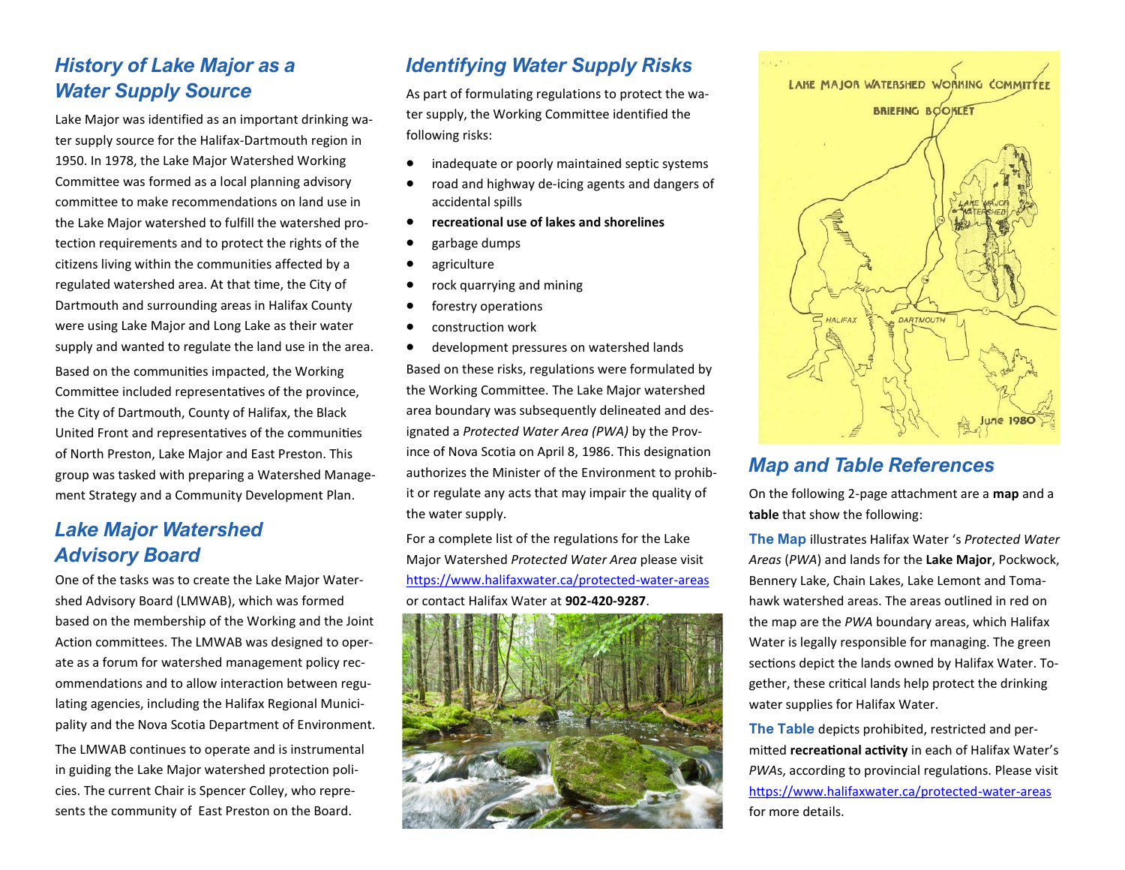## *History of Lake Major as a Water Supply Source*

Lake Major was identified as an important drinking water supply source for the Halifax-Dartmouth region in 1950. In 1978, the Lake Major Watershed Working Committee was formed as a local planning advisory committee to make recommendations on land use in the Lake Major watershed to fulfill the watershed protection requirements and to protect the rights of the citizens living within the communities affected by a regulated watershed area. At that time, the City of Dartmouth and surrounding areas in Halifax County were using Lake Major and Long Lake as their water supply and wanted to regulate the land use in the area. Based on the communities impacted, the Working Committee included representatives of the province, the City of Dartmouth, County of Halifax, the Black United Front and representatives of the communities of North Preston, Lake Major and East Preston. This group was tasked with preparing a Watershed Management Strategy and a Community Development Plan.

### *Lake Major Watershed Advisory Board*

One of the tasks was to create the Lake Major Watershed Advisory Board (LMWAB), which was formed based on the membership of the Working and the Joint Action committees. The LMWAB was designed to operate as a forum for watershed management policy recommendations and to allow interaction between regulating agencies, including the Halifax Regional Municipality and the Nova Scotia Department of Environment.

The LMWAB continues to operate and is instrumental in guiding the Lake Major watershed protection policies. The current Chair is Spencer Colley, who represents the community of East Preston on the Board.

## *Identifying Water Supply Risks*

As part of formulating regulations to protect the water supply, the Working Committee identified the following risks:

- inadequate or poorly maintained septic systems
- road and highway de-icing agents and dangers of accidental spills
- **recreational use of lakes and shorelines**
- garbage dumps
- agriculture
- rock quarrying and mining
- forestry operations
- construction work

• development pressures on watershed lands Based on these risks, regulations were formulated by the Working Committee. The Lake Major watershed area boundary was subsequently delineated and designated a *Protected Water Area (PWA)* by the Province of Nova Scotia on April 8, 1986. This designation authorizes the Minister of the Environment to prohibit or regulate any acts that may impair the quality of the water supply.

For a complete list of the regulations for the Lake Major Watershed *Protected Water Area* please visit [https://www.halifaxwater.ca/protected](https://www.halifaxwater.ca/protected-water-areas)-water-areas or contact Halifax Water at **902-420-9287**.





#### *Map and Table References*

On the following 2-page attachment are a **map** and a **table** that show the following:

**The Map** illustrates Halifax Water 's *Protected Water Areas* (*PWA*) and lands for the **Lake Major**, Pockwock, Bennery Lake, Chain Lakes, Lake Lemont and Tomahawk watershed areas. The areas outlined in red on the map are the *PWA* boundary areas, which Halifax Water is legally responsible for managing. The green sections depict the lands owned by Halifax Water. Together, these critical lands help protect the drinking water supplies for Halifax Water.

**The Table** depicts prohibited, restricted and permitted **recreational activity** in each of Halifax Water's *PWA*s, according to provincial regulations. Please visit [https://www.halifaxwater.ca/protected](https://www.halifaxwater.ca/protected-water-areas)-water-areas for more details.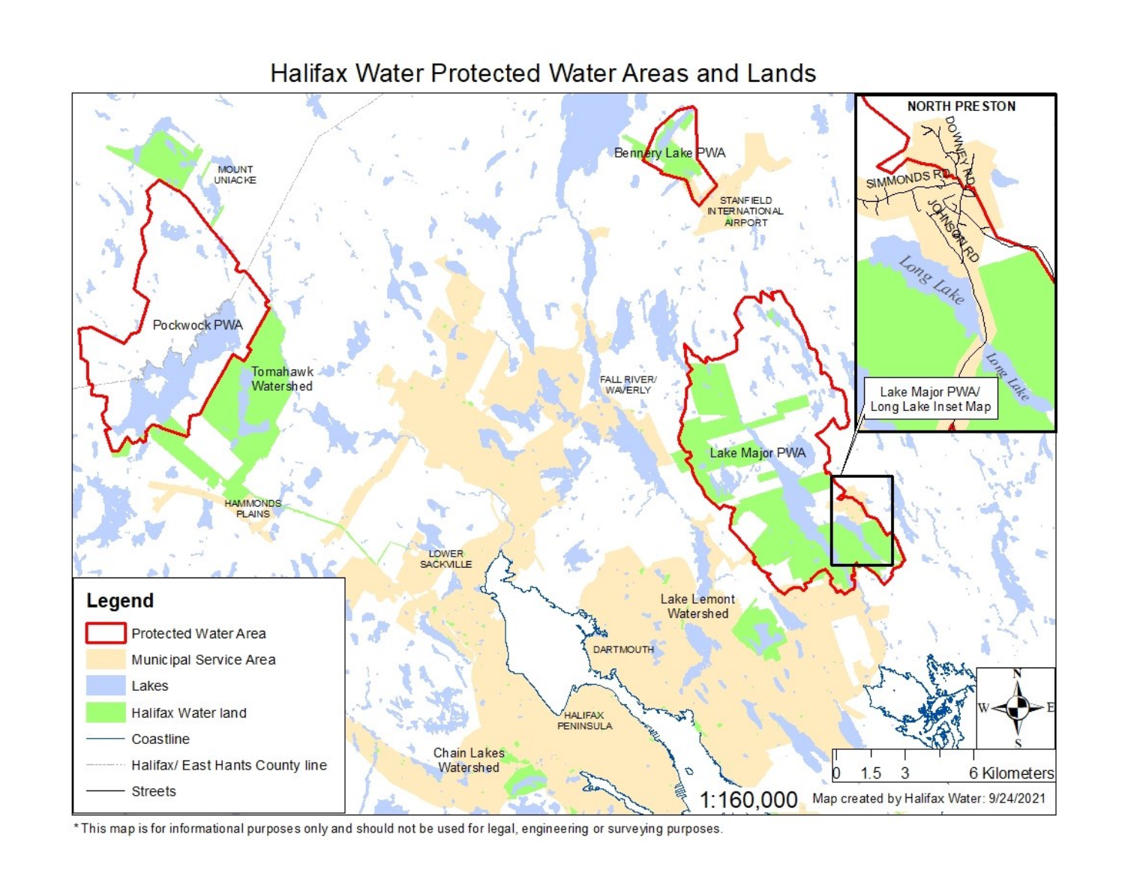

## Halifax Water Protected Water Areas and Lands

\* This map is for informational purposes only and should not be used for legal, engineering or surveying purposes.